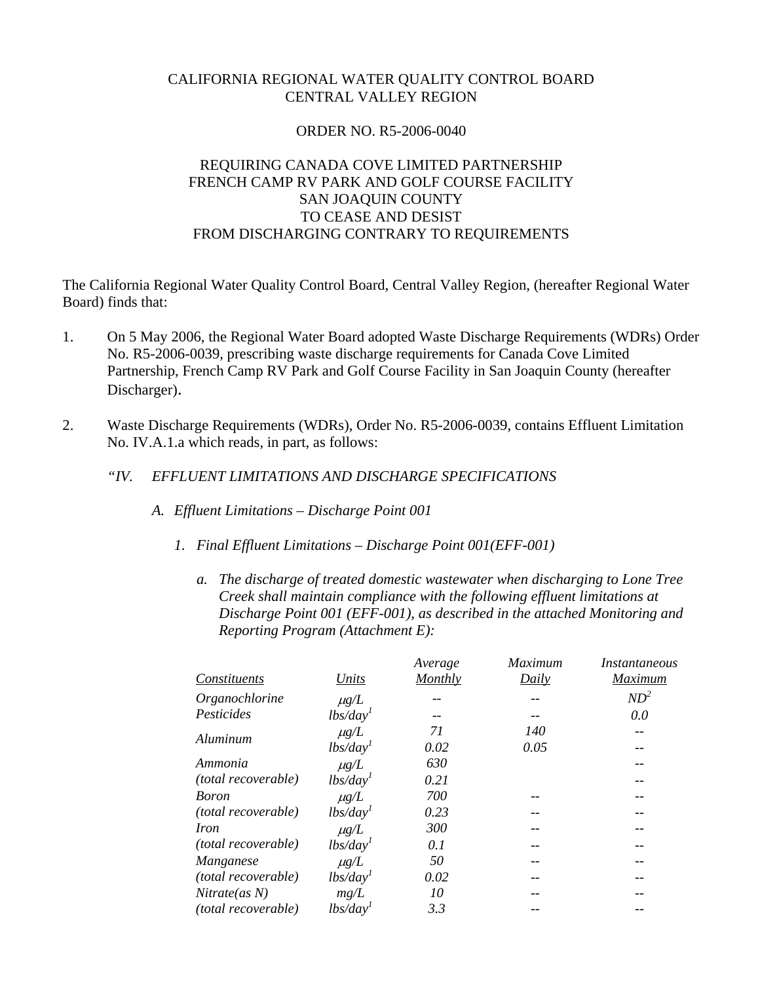## CALIFORNIA REGIONAL WATER QUALITY CONTROL BOARD CENTRAL VALLEY REGION

#### ORDER NO. R5-2006-0040

# REQUIRING CANADA COVE LIMITED PARTNERSHIP FRENCH CAMP RV PARK AND GOLF COURSE FACILITY SAN JOAQUIN COUNTY TO CEASE AND DESIST FROM DISCHARGING CONTRARY TO REQUIREMENTS

The California Regional Water Quality Control Board, Central Valley Region, (hereafter Regional Water Board) finds that:

- 1. On 5 May 2006, the Regional Water Board adopted Waste Discharge Requirements (WDRs) Order No. R5-2006-0039, prescribing waste discharge requirements for Canada Cove Limited Partnership, French Camp RV Park and Golf Course Facility in San Joaquin County (hereafter Discharger).
- 2. Waste Discharge Requirements (WDRs), Order No. R5-2006-0039, contains Effluent Limitation No. IV.A.1.a which reads, in part, as follows:
	- *"IV. EFFLUENT LIMITATIONS AND DISCHARGE SPECIFICATIONS* 
		- *A. Effluent Limitations Discharge Point 001* 
			- *1. Final Effluent Limitations Discharge Point 001(EFF-001)* 
				- *a. The discharge of treated domestic wastewater when discharging to Lone Tree Creek shall maintain compliance with the following effluent limitations at Discharge Point 001 (EFF-001), as described in the attached Monitoring and Reporting Program (Attachment E):*

|                            |                                  | Average | Maximum | Instantaneous |
|----------------------------|----------------------------------|---------|---------|---------------|
| Constituents               | Units                            | Monthly | Daily   | Maximum       |
| Organochlorine             | $\mu$ g/L                        |         |         | $ND^2$        |
| Pesticides                 | $\frac{1}{b}$ s/day <sup>1</sup> |         |         | 0.0           |
| Aluminum                   | $\mu$ g/L                        | 71      | 140     | $-$           |
|                            | lbs/day <sup>1</sup>             | 0.02    | 0.05    | --            |
| Ammonia                    | $\mu$ g/L                        | 630     |         |               |
| (total recoverable)        | lbs/day <sup>1</sup>             | 0.21    |         |               |
| <b>Boron</b>               | $\mu$ g/L                        | 700     | --      | --            |
| (total recoverable)        | $\frac{1}{b}$ s/day <sup>1</sup> | 0.23    |         |               |
| <i>Iron</i>                | $\mu$ g/L                        | 300     |         |               |
| <i>(total recoverable)</i> | lbs/day <sup>1</sup>             | 0.1     | --      | --            |
| <b>Manganese</b>           | $\mu g/L$                        | 50      |         |               |
| (total recoverable)        | lbs/day <sup>1</sup>             | 0.02    |         | --            |
| Nitrate(as N)              | mg/L                             | 10      |         |               |
| (total recoverable)        | lbs/day'                         | 3.3     |         |               |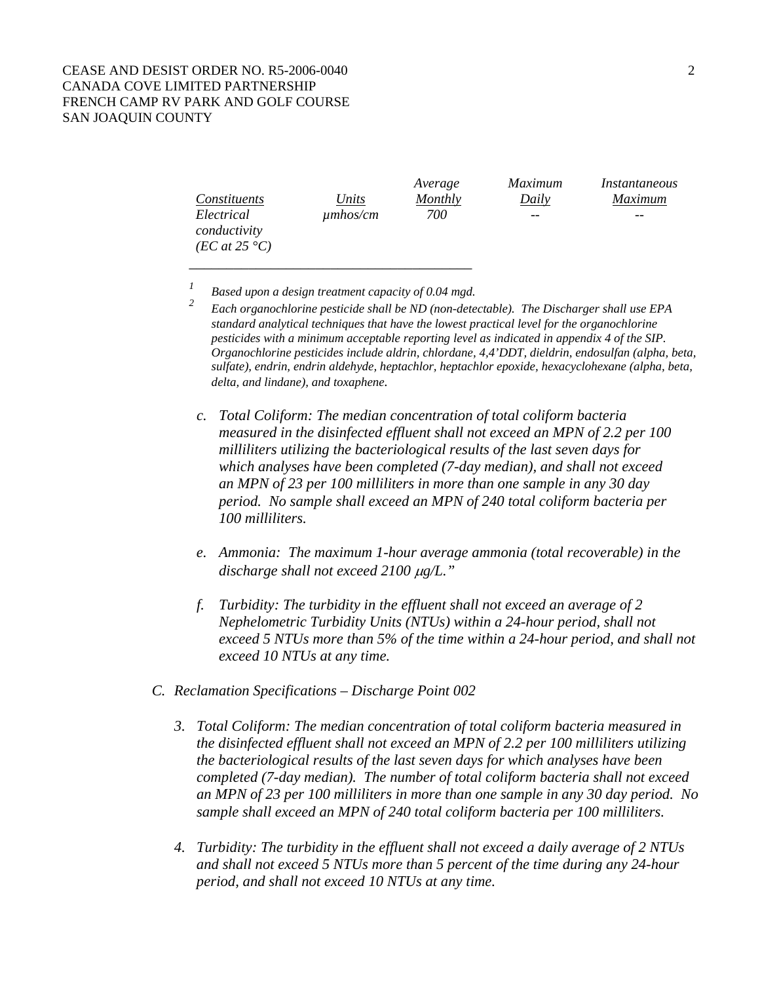|                            |               | Average | Maximum | Instantaneous |
|----------------------------|---------------|---------|---------|---------------|
| Constituents               | Units         | Monthly | Daily   | Maximum       |
| Electrical<br>conductivity | $\mu$ mhos/cm | 700     | $ -$    | --            |
| (EC at 25 °C)              |               |         |         |               |

*<sup>1</sup> Based upon a design treatment capacity of 0.04 mgd.* 

\_\_\_\_\_\_\_\_\_\_\_\_\_\_\_\_\_\_\_\_\_\_\_\_\_\_\_\_\_\_\_\_\_\_\_\_\_\_

- *2 Each organochlorine pesticide shall be ND (non-detectable). The Discharger shall use EPA standard analytical techniques that have the lowest practical level for the organochlorine pesticides with a minimum acceptable reporting level as indicated in appendix 4 of the SIP. Organochlorine pesticides include aldrin, chlordane, 4,4'DDT, dieldrin, endosulfan (alpha, beta, sulfate), endrin, endrin aldehyde, heptachlor, heptachlor epoxide, hexacyclohexane (alpha, beta, delta, and lindane), and toxaphene.*
- *c. Total Coliform: The median concentration of total coliform bacteria measured in the disinfected effluent shall not exceed an MPN of 2.2 per 100 milliliters utilizing the bacteriological results of the last seven days for which analyses have been completed (7-day median), and shall not exceed an MPN of 23 per 100 milliliters in more than one sample in any 30 day period. No sample shall exceed an MPN of 240 total coliform bacteria per 100 milliliters.*
- *e. Ammonia: The maximum 1-hour average ammonia (total recoverable) in the discharge shall not exceed 2100* μ*g/L."*
- *f. Turbidity: The turbidity in the effluent shall not exceed an average of 2 Nephelometric Turbidity Units (NTUs) within a 24-hour period, shall not exceed 5 NTUs more than 5% of the time within a 24-hour period, and shall not exceed 10 NTUs at any time.*
- *C. Reclamation Specifications Discharge Point 002* 
	- *3. Total Coliform: The median concentration of total coliform bacteria measured in the disinfected effluent shall not exceed an MPN of 2.2 per 100 milliliters utilizing the bacteriological results of the last seven days for which analyses have been completed (7-day median). The number of total coliform bacteria shall not exceed an MPN of 23 per 100 milliliters in more than one sample in any 30 day period. No sample shall exceed an MPN of 240 total coliform bacteria per 100 milliliters.*
	- *4. Turbidity: The turbidity in the effluent shall not exceed a daily average of 2 NTUs and shall not exceed 5 NTUs more than 5 percent of the time during any 24-hour period, and shall not exceed 10 NTUs at any time.*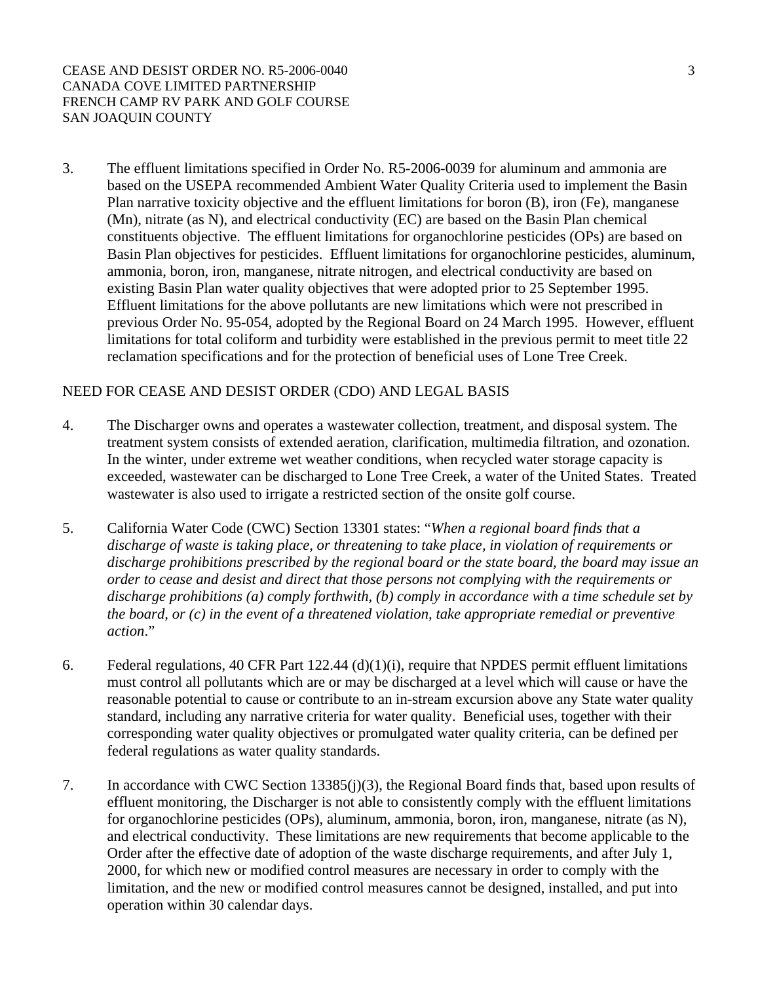3. The effluent limitations specified in Order No. R5-2006-0039 for aluminum and ammonia are based on the USEPA recommended Ambient Water Quality Criteria used to implement the Basin Plan narrative toxicity objective and the effluent limitations for boron (B), iron (Fe), manganese (Mn), nitrate (as N), and electrical conductivity (EC) are based on the Basin Plan chemical constituents objective. The effluent limitations for organochlorine pesticides (OPs) are based on Basin Plan objectives for pesticides. Effluent limitations for organochlorine pesticides, aluminum, ammonia, boron, iron, manganese, nitrate nitrogen, and electrical conductivity are based on existing Basin Plan water quality objectives that were adopted prior to 25 September 1995. Effluent limitations for the above pollutants are new limitations which were not prescribed in previous Order No. 95-054, adopted by the Regional Board on 24 March 1995. However, effluent limitations for total coliform and turbidity were established in the previous permit to meet title 22 reclamation specifications and for the protection of beneficial uses of Lone Tree Creek.

## NEED FOR CEASE AND DESIST ORDER (CDO) AND LEGAL BASIS

- 4. The Discharger owns and operates a wastewater collection, treatment, and disposal system. The treatment system consists of extended aeration, clarification, multimedia filtration, and ozonation. In the winter, under extreme wet weather conditions, when recycled water storage capacity is exceeded, wastewater can be discharged to Lone Tree Creek, a water of the United States. Treated wastewater is also used to irrigate a restricted section of the onsite golf course.
- 5. California Water Code (CWC) Section 13301 states: "*When a regional board finds that a discharge of waste is taking place, or threatening to take place, in violation of requirements or discharge prohibitions prescribed by the regional board or the state board, the board may issue an order to cease and desist and direct that those persons not complying with the requirements or discharge prohibitions (a) comply forthwith, (b) comply in accordance with a time schedule set by the board, or (c) in the event of a threatened violation, take appropriate remedial or preventive action*."
- 6. Federal regulations, 40 CFR Part 122.44 (d)(1)(i), require that NPDES permit effluent limitations must control all pollutants which are or may be discharged at a level which will cause or have the reasonable potential to cause or contribute to an in-stream excursion above any State water quality standard, including any narrative criteria for water quality. Beneficial uses, together with their corresponding water quality objectives or promulgated water quality criteria, can be defined per federal regulations as water quality standards.
- 7. In accordance with CWC Section 13385(j)(3), the Regional Board finds that, based upon results of effluent monitoring, the Discharger is not able to consistently comply with the effluent limitations for organochlorine pesticides (OPs), aluminum, ammonia, boron, iron, manganese, nitrate (as N), and electrical conductivity. These limitations are new requirements that become applicable to the Order after the effective date of adoption of the waste discharge requirements, and after July 1, 2000, for which new or modified control measures are necessary in order to comply with the limitation, and the new or modified control measures cannot be designed, installed, and put into operation within 30 calendar days.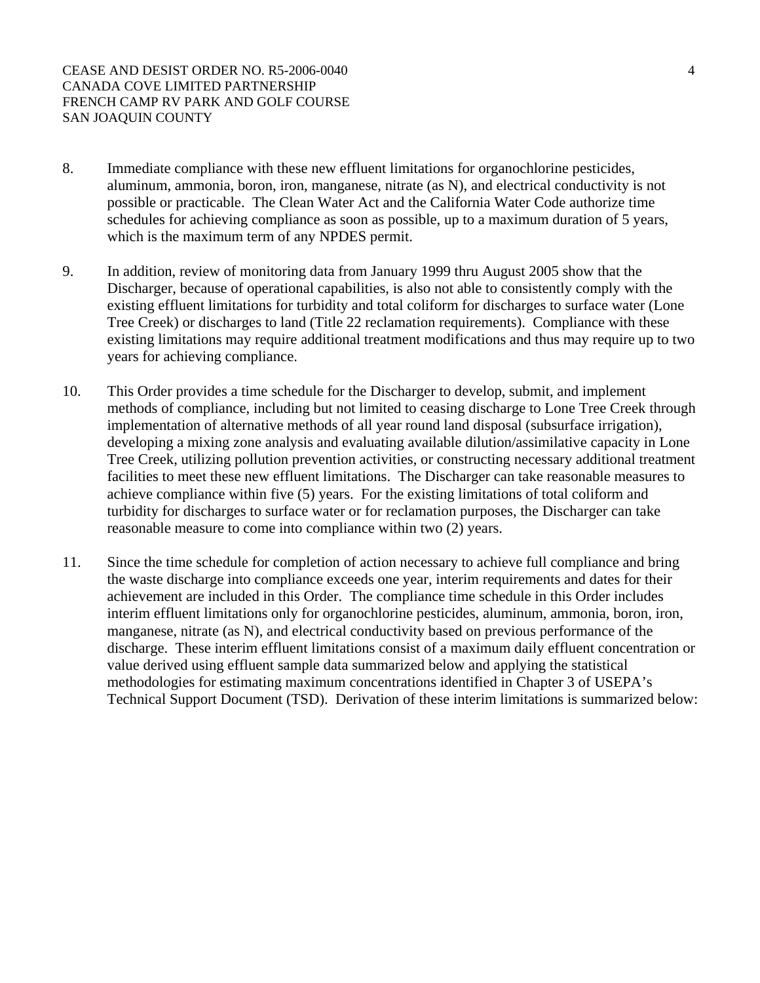CEASE AND DESIST ORDER NO. R5-2006-0040 4 CANADA COVE LIMITED PARTNERSHIP FRENCH CAMP RV PARK AND GOLF COURSE SAN JOAQUIN COUNTY

- 8. Immediate compliance with these new effluent limitations for organochlorine pesticides, aluminum, ammonia, boron, iron, manganese, nitrate (as N), and electrical conductivity is not possible or practicable. The Clean Water Act and the California Water Code authorize time schedules for achieving compliance as soon as possible, up to a maximum duration of 5 years, which is the maximum term of any NPDES permit.
- 9. In addition, review of monitoring data from January 1999 thru August 2005 show that the Discharger, because of operational capabilities, is also not able to consistently comply with the existing effluent limitations for turbidity and total coliform for discharges to surface water (Lone Tree Creek) or discharges to land (Title 22 reclamation requirements). Compliance with these existing limitations may require additional treatment modifications and thus may require up to two years for achieving compliance.
- 10. This Order provides a time schedule for the Discharger to develop, submit, and implement methods of compliance, including but not limited to ceasing discharge to Lone Tree Creek through implementation of alternative methods of all year round land disposal (subsurface irrigation), developing a mixing zone analysis and evaluating available dilution/assimilative capacity in Lone Tree Creek, utilizing pollution prevention activities, or constructing necessary additional treatment facilities to meet these new effluent limitations. The Discharger can take reasonable measures to achieve compliance within five (5) years. For the existing limitations of total coliform and turbidity for discharges to surface water or for reclamation purposes, the Discharger can take reasonable measure to come into compliance within two (2) years.
- 11. Since the time schedule for completion of action necessary to achieve full compliance and bring the waste discharge into compliance exceeds one year, interim requirements and dates for their achievement are included in this Order. The compliance time schedule in this Order includes interim effluent limitations only for organochlorine pesticides, aluminum, ammonia, boron, iron, manganese, nitrate (as N), and electrical conductivity based on previous performance of the discharge. These interim effluent limitations consist of a maximum daily effluent concentration or value derived using effluent sample data summarized below and applying the statistical methodologies for estimating maximum concentrations identified in Chapter 3 of USEPA's Technical Support Document (TSD). Derivation of these interim limitations is summarized below: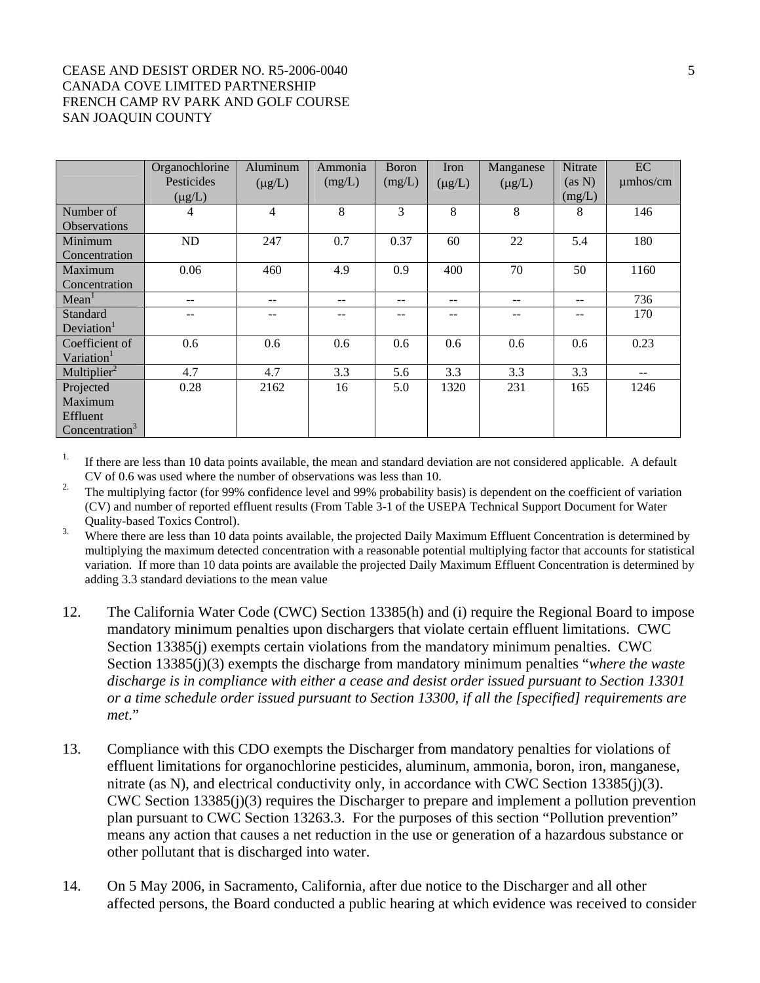#### CEASE AND DESIST ORDER NO. R5-2006-0040 5 CANADA COVE LIMITED PARTNERSHIP FRENCH CAMP RV PARK AND GOLF COURSE SAN JOAQUIN COUNTY

|                                                                | Organochlorine<br>Pesticides<br>$(\mu g/L)$ | Aluminum<br>$(\mu g/L)$ | Ammonia<br>(mg/L) | <b>Boron</b><br>(mg/L) | Iron<br>$(\mu g/L)$ | Manganese<br>$(\mu g/L)$ | <b>Nitrate</b><br>(as N)<br>(mg/L) | EC<br>$\mu$ mhos/cm |
|----------------------------------------------------------------|---------------------------------------------|-------------------------|-------------------|------------------------|---------------------|--------------------------|------------------------------------|---------------------|
| Number of<br><b>Observations</b>                               | 4                                           | 4                       | 8                 | 3                      | 8                   | 8                        | 8                                  | 146                 |
| Minimum<br>Concentration                                       | ND                                          | 247                     | 0.7               | 0.37                   | 60                  | 22                       | 5.4                                | 180                 |
| Maximum<br>Concentration                                       | 0.06                                        | 460                     | 4.9               | 0.9                    | 400                 | 70                       | 50                                 | 1160                |
| Mean <sup>1</sup>                                              | $- -$                                       | $- -$                   | --                | --                     | $- -$               | $- -$                    | $- -$                              | 736                 |
| Standard<br>Deviation <sup>1</sup>                             |                                             |                         |                   |                        | --                  |                          |                                    | 170                 |
| Coefficient of<br>Variation <sup>1</sup>                       | 0.6                                         | 0.6                     | 0.6               | 0.6                    | 0.6                 | 0.6                      | 0.6                                | 0.23                |
| Multiplier <sup>2</sup>                                        | 4.7                                         | 4.7                     | 3.3               | 5.6                    | 3.3                 | 3.3                      | 3.3                                | $- -$               |
| Projected<br>Maximum<br>Effluent<br>Concentration <sup>3</sup> | 0.28                                        | 2162                    | 16                | 5.0                    | 1320                | 231                      | 165                                | 1246                |

<sup>1.</sup> If there are less than 10 data points available, the mean and standard deviation are not considered applicable. A default CV of 0.6 was used where the number of observations was less than 10.

<sup>2.</sup> The multiplying factor (for 99% confidence level and 99% probability basis) is dependent on the coefficient of variation (CV) and number of reported effluent results (From Table 3-1 of the USEPA Technical Support Document for Water Quality-based Toxics Control).

<sup>3.</sup> Where there are less than 10 data points available, the projected Daily Maximum Effluent Concentration is determined by multiplying the maximum detected concentration with a reasonable potential multiplying factor that accounts for statistical variation. If more than 10 data points are available the projected Daily Maximum Effluent Concentration is determined by adding 3.3 standard deviations to the mean value

- 12. The California Water Code (CWC) Section 13385(h) and (i) require the Regional Board to impose mandatory minimum penalties upon dischargers that violate certain effluent limitations. CWC Section 13385(j) exempts certain violations from the mandatory minimum penalties. CWC Section 13385(j)(3) exempts the discharge from mandatory minimum penalties "*where the waste discharge is in compliance with either a cease and desist order issued pursuant to Section 13301 or a time schedule order issued pursuant to Section 13300, if all the [specified] requirements are met*."
- 13. Compliance with this CDO exempts the Discharger from mandatory penalties for violations of effluent limitations for organochlorine pesticides, aluminum, ammonia, boron, iron, manganese, nitrate (as N), and electrical conductivity only, in accordance with CWC Section 13385(j)(3). CWC Section 13385(j)(3) requires the Discharger to prepare and implement a pollution prevention plan pursuant to CWC Section 13263.3. For the purposes of this section "Pollution prevention" means any action that causes a net reduction in the use or generation of a hazardous substance or other pollutant that is discharged into water.
- 14. On 5 May 2006, in Sacramento, California, after due notice to the Discharger and all other affected persons, the Board conducted a public hearing at which evidence was received to consider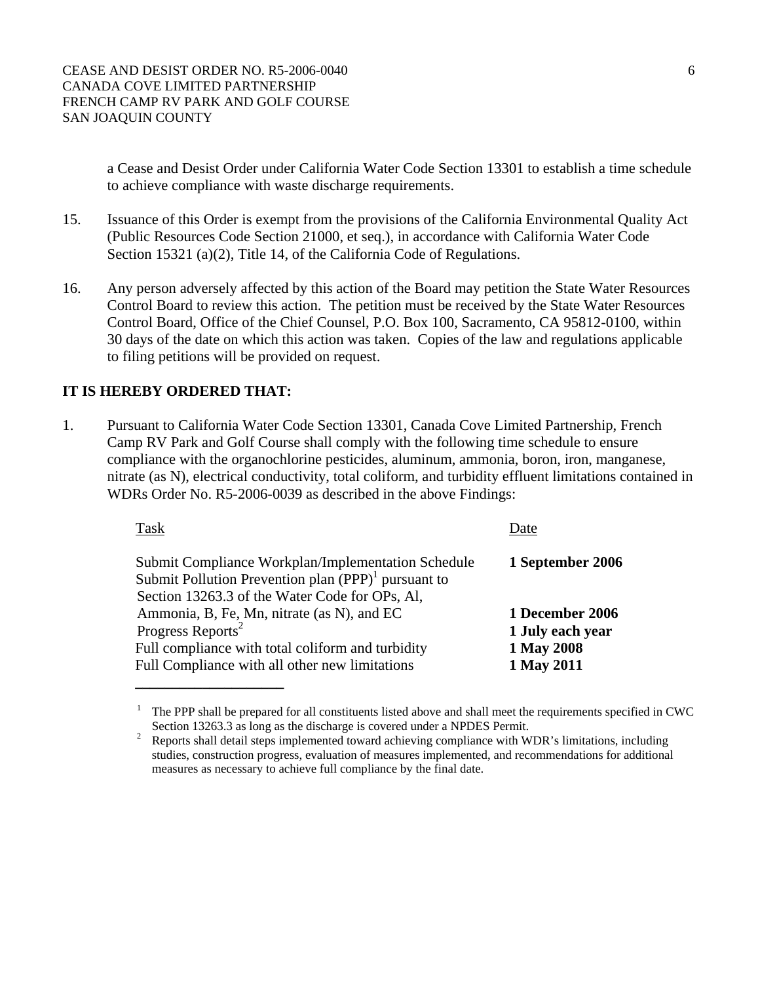a Cease and Desist Order under California Water Code Section 13301 to establish a time schedule to achieve compliance with waste discharge requirements.

- 15. Issuance of this Order is exempt from the provisions of the California Environmental Quality Act (Public Resources Code Section 21000, et seq.), in accordance with California Water Code Section 15321 (a)(2), Title 14, of the California Code of Regulations.
- 16. Any person adversely affected by this action of the Board may petition the State Water Resources Control Board to review this action. The petition must be received by the State Water Resources Control Board, Office of the Chief Counsel, P.O. Box 100, Sacramento, CA 95812-0100, within 30 days of the date on which this action was taken. Copies of the law and regulations applicable to filing petitions will be provided on request.

# **IT IS HEREBY ORDERED THAT:**

1. Pursuant to California Water Code Section 13301, Canada Cove Limited Partnership, French Camp RV Park and Golf Course shall comply with the following time schedule to ensure compliance with the organochlorine pesticides, aluminum, ammonia, boron, iron, manganese, nitrate (as N), electrical conductivity, total coliform, and turbidity effluent limitations contained in WDRs Order No. R5-2006-0039 as described in the above Findings:

| Task                                                                                                                                                           | Date             |
|----------------------------------------------------------------------------------------------------------------------------------------------------------------|------------------|
| Submit Compliance Workplan/Implementation Schedule<br>Submit Pollution Prevention plan $(PPP)^1$ pursuant to<br>Section 13263.3 of the Water Code for OPs, Al, | 1 September 2006 |
| Ammonia, B, Fe, Mn, nitrate (as N), and EC                                                                                                                     | 1 December 2006  |
| Progress Reports <sup>2</sup>                                                                                                                                  | 1 July each year |
| Full compliance with total coliform and turbidity                                                                                                              | 1 May 2008       |
| Full Compliance with all other new limitations                                                                                                                 | 1 May 2011       |
|                                                                                                                                                                |                  |

 $1$  The PPP shall be prepared for all constituents listed above and shall meet the requirements specified in CWC

Section 13263.3 as long as the discharge is covered under a NPDES Permit.<br><sup>2</sup> Reports shall detail steps implemented toward achieving compliance with WDR's limitations, including studies, construction progress, evaluation of measures implemented, and recommendations for additional measures as necessary to achieve full compliance by the final date.